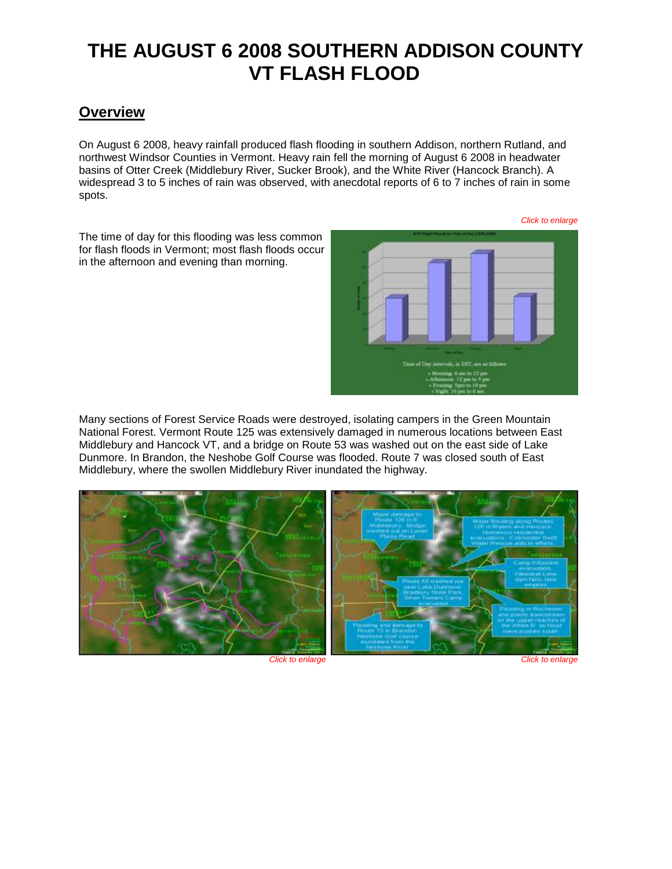# **THE AUGUST 6 2008 SOUTHERN ADDISON COUNTY VT FLASH FLOOD**

## **Overview**

On August 6 2008, heavy rainfall produced flash flooding in southern Addison, northern Rutland, and northwest Windsor Counties in Vermont. Heavy rain fell the morning of August 6 2008 in headwater basins of Otter Creek (Middlebury River, Sucker Brook), and the White River (Hancock Branch). A widespread 3 to 5 inches of rain was observed, with anecdotal reports of 6 to 7 inches of rain in some spots.

The time of day for this flooding was less common for flash floods in Vermont; most flash floods occur in the afternoon and evening than morning.



Many sections of Forest Service Roads were destroyed, isolating campers in the Green Mountain National Forest. Vermont Route 125 was extensively damaged in numerous locations between East Middlebury and Hancock VT, and a bridge on Route 53 was washed out on the east side of Lake Dunmore. In Brandon, the Neshobe Golf Course was flooded. Route 7 was closed south of East Middlebury, where the swollen Middlebury River inundated the highway.

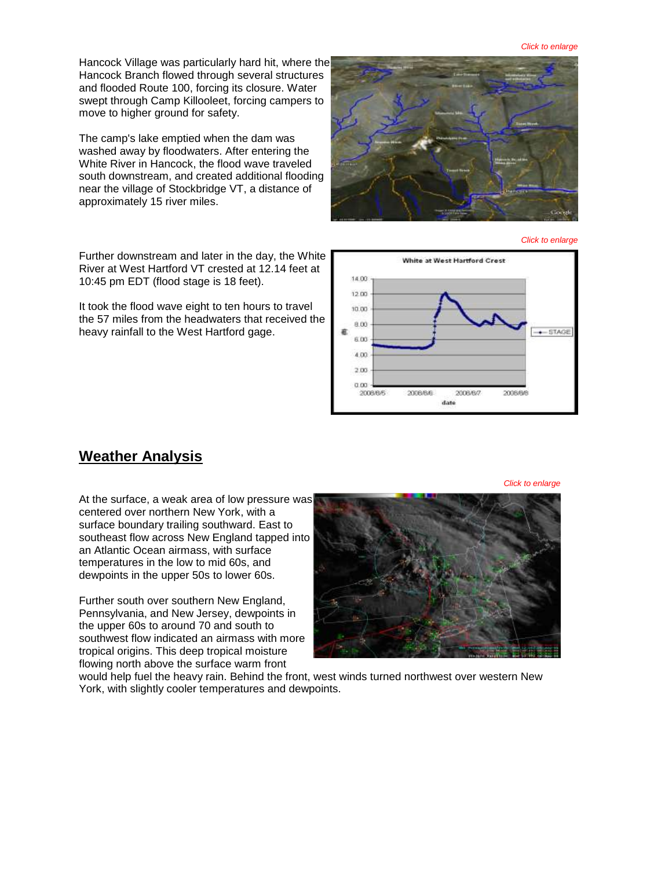Hancock Village was particularly hard hit, where the Hancock Branch flowed through several structures and flooded Route 100, forcing its closure. Water swept through Camp Killooleet, forcing campers to move to higher ground for safety.

The camp's lake emptied when the dam was washed away by floodwaters. After entering the White River in Hancock, the flood wave traveled south downstream, and created additional flooding near the village of Stockbridge VT, a distance of approximately 15 river miles.



#### *Click to enlarge*

Further downstream and later in the day, the White River at West Hartford VT crested at 12.14 feet at 10:45 pm EDT (flood stage is 18 feet).

It took the flood wave eight to ten hours to travel the 57 miles from the headwaters that received the heavy rainfall to the West Hartford gage.



### **Weather Analysis**

At the surface, a weak area of low pressure was centered over northern New York, with a surface boundary trailing southward. East to southeast flow across New England tapped into an Atlantic Ocean airmass, with surface temperatures in the low to mid 60s, and dewpoints in the upper 50s to lower 60s.

Further south over southern New England, Pennsylvania, and New Jersey, dewpoints in the upper 60s to around 70 and south to southwest flow indicated an airmass with more tropical origins. This deep tropical moisture flowing north above the surface warm front



would help fuel the heavy rain. Behind the front, west winds turned northwest over western New York, with slightly cooler temperatures and dewpoints.

*Click to enlarge*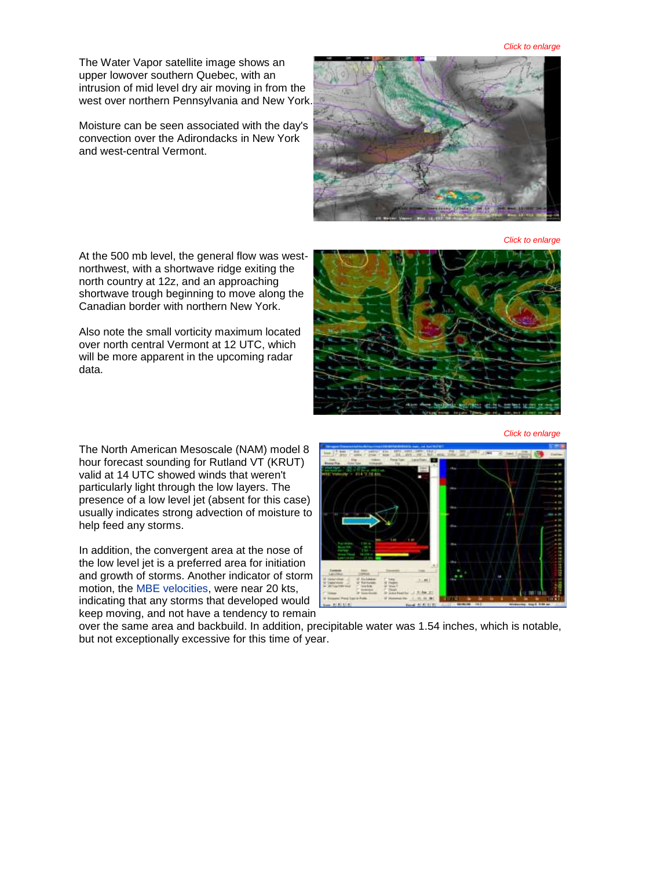*Click to enlarge*

The Water Vapor satellite image shows an upper lowover southern Quebec, with an intrusion of mid level dry air moving in from the west over northern Pennsylvania and New York.

Moisture can be seen associated with the day's convection over the Adirondacks in New York and west-central Vermont.



*Click to enlarge*

At the 500 mb level, the general flow was westnorthwest, with a shortwave ridge exiting the north country at 12z, and an approaching shortwave trough beginning to move along the Canadian border with northern New York.

Also note the small vorticity maximum located over north central Vermont at 12 UTC, which will be more apparent in the upcoming radar data.

The North American Mesoscale (NAM) model 8 hour forecast sounding for Rutland VT (KRUT) valid at 14 UTC showed winds that weren't particularly light through the low layers. The presence of a low level jet (absent for this case) usually indicates strong advection of moisture to help feed any storms.

In addition, the convergent area at the nose of the low level jet is a preferred area for initiation and growth of storms. Another indicator of storm motion, the [MBE velocities,](http://www.spc.noaa.gov/publications/corfidi/mccthes.htm) were near 20 kts, indicating that any storms that developed would keep moving, and not have a tendency to remain



*Click to enlarge*



over the same area and backbuild. In addition, precipitable water was 1.54 inches, which is notable, but not exceptionally excessive for this time of year.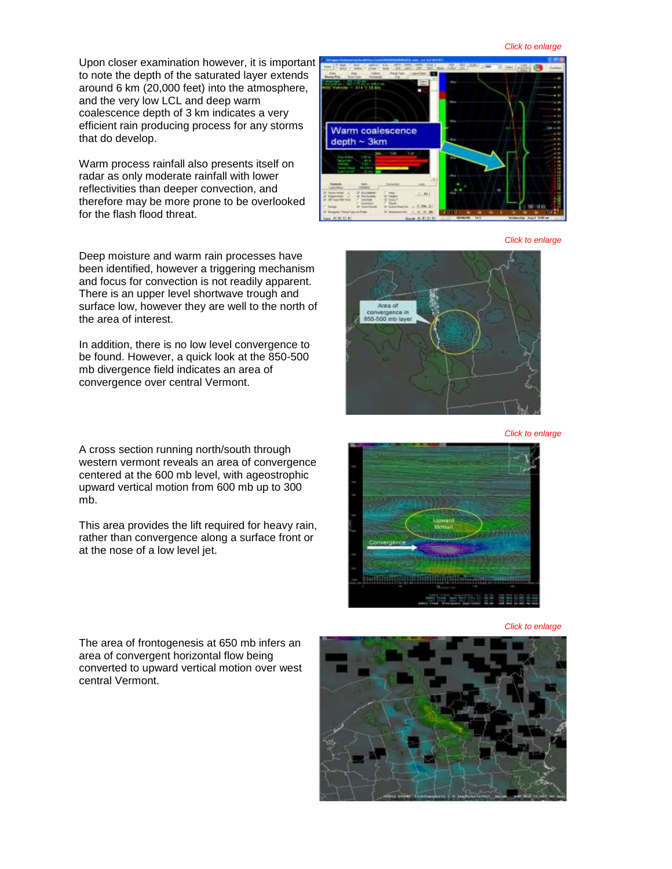Upon closer examination however, it is important to note the depth of the saturated layer extends around 6 km (20,000 feet) into the atmosphere, and the very low LCL and deep warm coalescence depth of 3 km indicates a very efficient rain producing process for any storms that do develop.

Warm process rainfall also presents itself on radar as only moderate rainfall with lower reflectivities than deeper convection, and therefore may be more prone to be overlooked for the flash flood threat.

Deep moisture and warm rain processes have been identified, however a triggering mechanism and focus for convection is not readily apparent. There is an upper level shortwave trough and surface low, however they are well to the north of the area of interest.

In addition, there is no low level convergence to be found. However, a quick look at the 850-500 mb divergence field indicates an area of convergence over central Vermont.

A cross section running north/south through western vermont reveals an area of convergence centered at the 600 mb level, with ageostrophic upward vertical motion from 600 mb up to 300 mb.

This area provides the lift required for heavy rain, rather than convergence along a surface front or at the nose of a low level jet.







*Click to enlarge*



*Click to enlarge*

The area of frontogenesis at 650 mb infers an area of convergent horizontal flow being converted to upward vertical motion over west central Vermont.

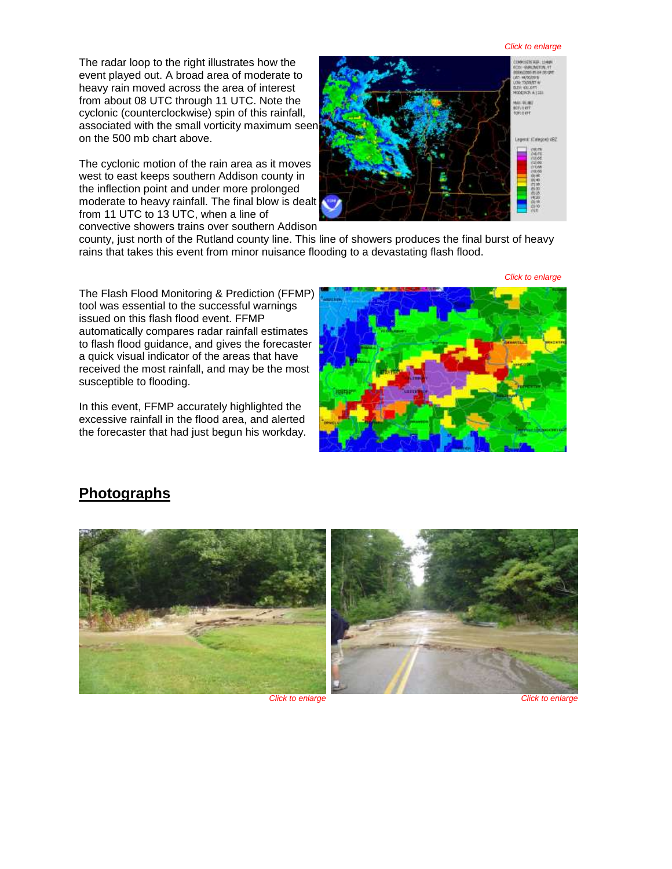#### *Click to enlarge*

The radar loop to the right illustrates how the event played out. A broad area of moderate to heavy rain moved across the area of interest from about 08 UTC through 11 UTC. Note the cyclonic (counterclockwise) spin of this rainfall, associated with the small vorticity maximum seen on the 500 mb chart above.

The cyclonic motion of the rain area as it moves west to east keeps southern Addison county in the inflection point and under more prolonged moderate to heavy rainfall. The final blow is dealt from 11 UTC to 13 UTC, when a line of convective showers trains over southern Addison



county, just north of the Rutland county line. This line of showers produces the final burst of heavy rains that takes this event from minor nuisance flooding to a devastating flash flood.

*Click to enlarge*

The Flash Flood Monitoring & Prediction (FFMP) tool was essential to the successful warnings issued on this flash flood event. FFMP automatically compares radar rainfall estimates to flash flood guidance, and gives the forecaster a quick visual indicator of the areas that have received the most rainfall, and may be the most susceptible to flooding.

In this event, FFMP accurately highlighted the excessive rainfall in the flood area, and alerted the forecaster that had just begun his workday.



## **Photographs**